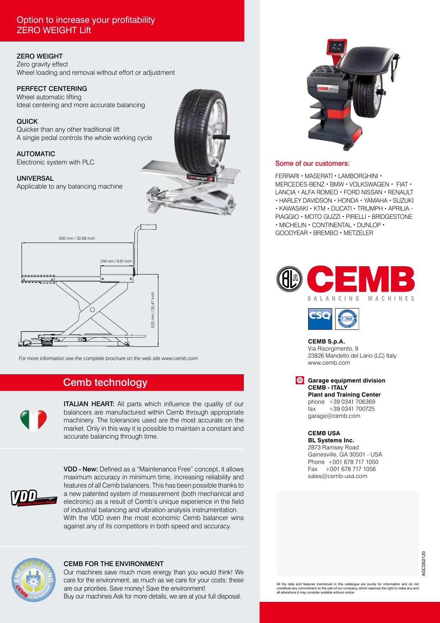# Option to increase your profitability ZERO WEIGHT Lift

### ZERO WEIGHT

Zero gravity effect Wheel loading and removal without effort or adjustment

#### PERFECT CENTERING

Wheel automatic lifting Ideal centering and more accurate balancing

#### QUICK

Quicker than any other traditional lift A single pedal controls the whole working cycle

#### AUTOMATIC

Electronic system with PLC

#### UNIVERSAL

Applicable to any balancing machine





*For more information see the complete brochure on the web site www.cemb.com*

# Cemb technology



**ITALIAN HEART:** All parts which influence the quality of our balancers are manufactured within Cemb through appropriate machinery. The tolerances used are the most accurate on the market. Only in this way it is possible to maintain a constant and accurate balancing through time.



VDD - New: Defined as a "Maintenance Free" concept, it allows maximum accuracy in minimum time, increasing reliability and features of all Cemb balancers. This has been possible thanks to a new patented system of measurement (both mechanical and electronic) as a result of Cemb's unique experience in the field of industrial balancing and vibration analysis instrumentation. With the VDD even the most economic Cemb balancer wins against any of its competitors in both speed and accuracy.



#### CEMB FOR THE ENVIRONMENT

Our machines save much more energy than you would think! We care for the environment, as much as we care for your costs: these are our priorities. Save money! Save the environment! Buy our machines.Ask for more details, we are at your full disposal.



#### Some of our customers:

FERRARI • MASERATI • LAMBORGHINI • MERCEDES-BENZ • BMW • VOLKSWAGEN • FIAT • LANCIA • ALFA ROMEO • FORD NISSAN • RENAULT • HARLEY DAVIDSON • HONDA • YAMAHA • SUZUKI • KAWASAKI • KTM • DUCATI • TRIUMPH • APRILIA - PIAGGIO • MOTO GUZZI • PIRELLI • BRIDGESTONE • MICHELIN • CONTINENTAL • DUNLOP • GOODYEAR • BREMBO • METZELER





**CEMB S.p.A.**

Via Risorgimento, 9 23826 Mandello del Lario (LC) Italy www.cemb.com

**Garage equipment division CEMB - ITALY Plant and Training Center**

phone +39 0341 706369 fax +39 0341 700725 garage@cemb.com

**CEMB USA**

**BL Systems Inc.** 2873 Ramsey Road Gainesville, GA 30501 - USA Phone +001 678 717 1050 Fax +001 678 717 1056 sales@cemb-usa.com

All the data and features mentioned in this catalogue are purely for information and do no constitute any commitment on the part of our company, which reserves the right to make any and all alterations it may consider suitable without notice.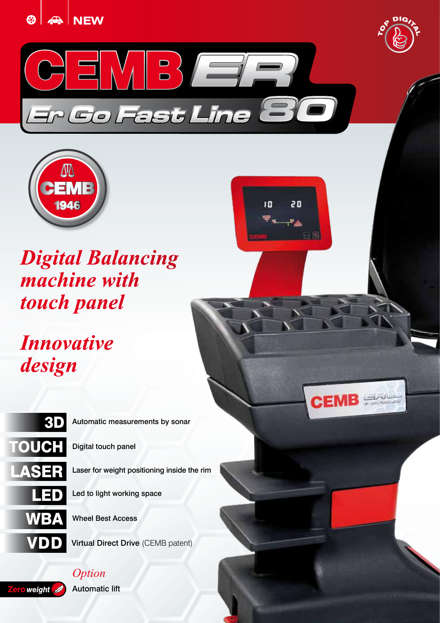





 $\overline{10}$ 

20

ڪِ ⊶

向国

 $CEMB = 1$ 



*Digital Balancing machine with touch panel* 

*Innovative design*



3D Automatic measurements by sonar

Digital touch panel

Laser for weight positioning inside the rim

Led to light working space

Wheel Best Access

VIDD Virtual Direct Drive (CEMB patent)

weight

*Option* Automatic lift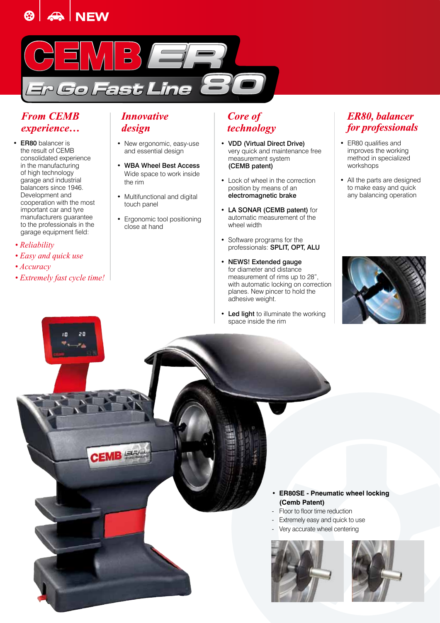



# *From CEMB experience…*

- ER80 balancer is the result of CEMB consolidated experience in the manufacturing of high technology garage and industrial balancers since 1946. Development and cooperation with the most important car and tyre manufacturers guarantee to the professionals in the garage equipment field:
- *Reliability*
- *Easy and quick use*
- *Accuracy*
- *Extremely fast cycle time!*

и

20

CEMB<sup>ex</sup>

# *Innovative design*

- New ergonomic, easy-use and essential design
- WBA Wheel Best Access Wide space to work inside the rim
- Multifunctional and digital touch panel
- Ergonomic tool positioning close at hand

# *Core of technology*

- VDD (Virtual Direct Drive) very quick and maintenance free measurement system (CEMB patent)
- Lock of wheel in the correction position by means of an electromagnetic brake
- LA SONAR (CEMB patent) for automatic measurement of the wheel width
- Software programs for the professionals: SPLIT, OPT, ALU
- NEWS! Extended gauge for diameter and distance measurement of rims up to 28", with automatic locking on correction planes. New pincer to hold the adhesive weight.
- Led light to illuminate the working space inside the rim

# *ER80, balancer for professionals*

- ER80 qualifies and improves the working method in specialized workshops
- All the parts are designed to make easy and quick any balancing operation



- **ER80SE Pneumatic wheel locking (Cemb Patent)** Floor to floor time reduction Extremely easy and quick to use
	- Very accurate wheel centering